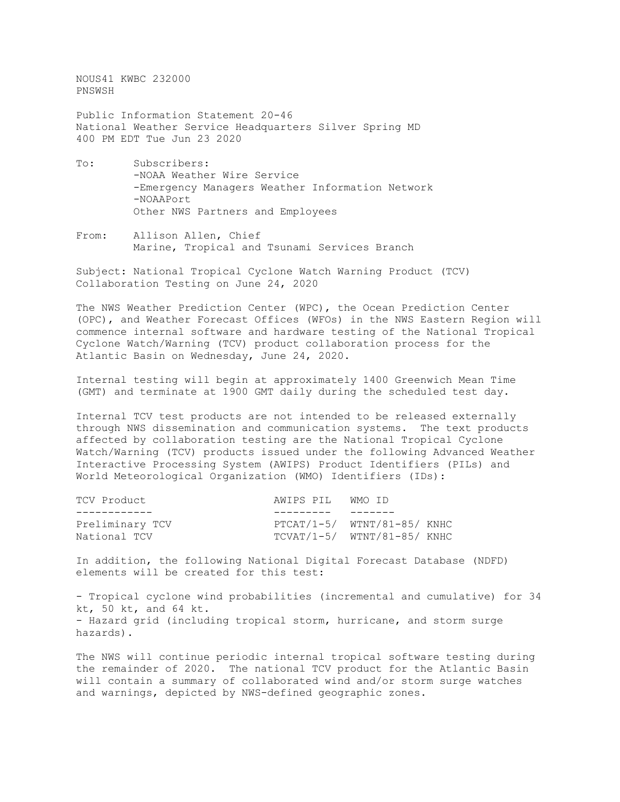NOUS41 KWBC 232000 PNSWSH

Public Information Statement 20-46 National Weather Service Headquarters Silver Spring MD 400 PM EDT Tue Jun 23 2020

- To: Subscribers: -NOAA Weather Wire Service -Emergency Managers Weather Information Network -NOAAPort Other NWS Partners and Employees
- From: Allison Allen, Chief Marine, Tropical and Tsunami Services Branch

Subject: National Tropical Cyclone Watch Warning Product (TCV) Collaboration Testing on June 24, 2020

The NWS Weather Prediction Center (WPC), the Ocean Prediction Center (OPC), and Weather Forecast Offices (WFOs) in the NWS Eastern Region will commence internal software and hardware testing of the National Tropical Cyclone Watch/Warning (TCV) product collaboration process for the Atlantic Basin on Wednesday, June 24, 2020.

Internal testing will begin at approximately 1400 Greenwich Mean Time (GMT) and terminate at 1900 GMT daily during the scheduled test day.

Internal TCV test products are not intended to be released externally through NWS dissemination and communication systems. The text products affected by collaboration testing are the National Tropical Cyclone Watch/Warning (TCV) products issued under the following Advanced Weather Interactive Processing System (AWIPS) Product Identifiers (PILs) and World Meteorological Organization (WMO) Identifiers (IDs):

| TCV Product     | AWIPS PIL WMO ID |                               |
|-----------------|------------------|-------------------------------|
|                 |                  |                               |
| Preliminary TCV |                  | $PTCAT/1-5/ WINT/81-85/ KNHC$ |
| National TCV    |                  | $TCVAT/1-5/ WTNT/81-85/ KNHC$ |

In addition, the following National Digital Forecast Database (NDFD) elements will be created for this test:

- Tropical cyclone wind probabilities (incremental and cumulative) for 34 kt, 50 kt, and 64 kt. - Hazard grid (including tropical storm, hurricane, and storm surge hazards).

The NWS will continue periodic internal tropical software testing during the remainder of 2020. The national TCV product for the Atlantic Basin will contain a summary of collaborated wind and/or storm surge watches and warnings, depicted by NWS-defined geographic zones.